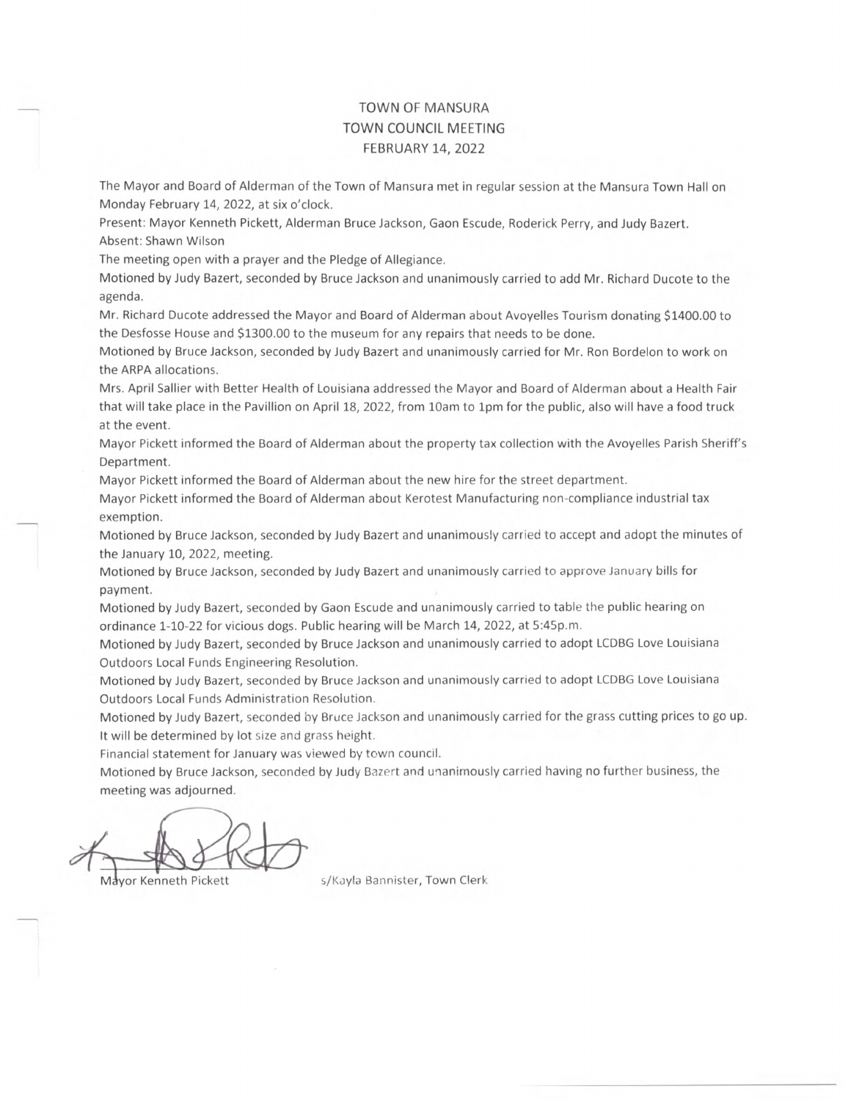#### TOWN OF MANSURA TOWN COUNCIL MEETING FEBRUARY 14, 2022

The Mayor and Board of Alderman of the Town of Mansura met in regular session at the Mansura Town Hall on Monday February 14, 2022, at six o'clock.

Present: Mayor Kenneth Pickett, Alderman Bruce Jackson, Gaon Escude, Roderick Perry, and Judy Bazert. Absent: Shawn Wilson

The meeting open with a prayer and the Pledge of Allegiance.

Motioned by Judy Bazert, seconded by Bruce Jackson and unanimously carried to add Mr. Richard Ducote to the agenda.

Mr. Richard Ducote addressed the Mayor and Board of Alderman about Avoyelles Tourism donating \$1400.00 to the Desfosse House and \$1300.00 to the museum for any repairs that needs to be done.

Motioned by Bruce Jackson, seconded by Judy Bazert and unanimously carried for Mr. Ron Bordelon to work on the ARPA allocations.

Mrs. April Sallier with Better Health of Louisiana addressed the Mayor and Board of Alderman about a Health Fair that will take place in the Pavillion on April 18, 2022, from lOam to 1pm for the public, also will have a food truck at the event.

Mayor Pickett informed the Board of Alderman about the property tax collection with the Avoyelles Parish Sheriff's Department.

Mayor Pickett informed the Board of Alderman about the new hire for the street department.

Mayor Pickett informed the Board of Alderman about Kerotest Manufacturing non-compliance industrial tax exemption.

Motioned by Bruce Jackson, seconded by Judy Bazert and unanimously carried to accept and adopt the minutes of the January 10, 2022, meeting.

Motioned by Bruce Jackson, seconded by Judy Bazert and unanimously carried to approve January bills for payment.

Motioned by Judy Bazert, seconded by Gaon Escude and unanimously carried to table the public hearing on ordinance 1-10-22 for vicious dogs. Public hearing will be March 14, 2022, at 5:45p.m.

Motioned by Judy Bazert, seconded by Bruce Jackson and unanimously carried to adopt LCDBG Love Louisiana Outdoors Local Funds Engineering Resolution.

Motioned by Judy Bazert, seconded by Bruce Jackson and unanimously carried to adopt LCDBG Love Louisiana Outdoors Local Funds Administration Resolution.

Motioned by Judy Bazert, seconded by Bruce Jackson and unanimously carried for the grass cutting prices to go up. It will be determined by lot size and grass height.

Financial statement for January was viewed by town council.

Motioned by Bruce Jackson, seconded by Judy Bazert and unanimously carried having no further business, the meeting was adjourned.

Mayor Kenneth Pickett s/Kayla Bannister, Town Clerk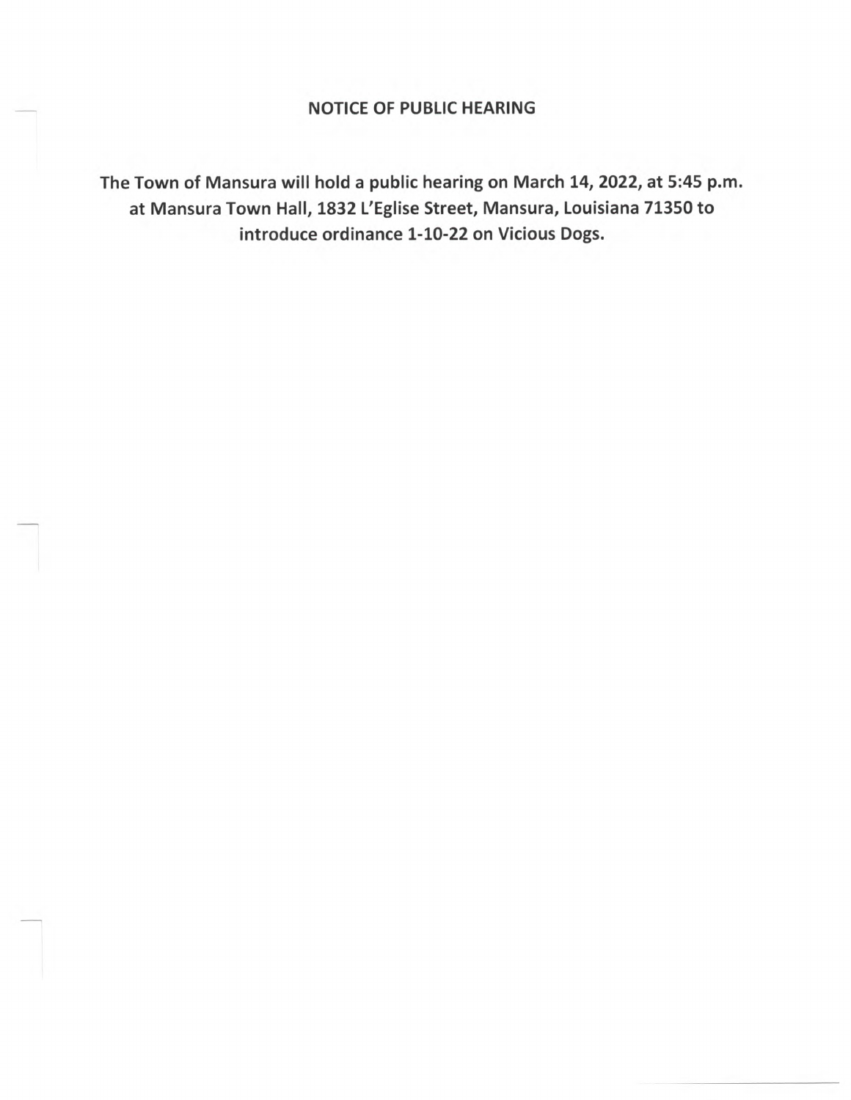### NOTICE OF PUBLIC HEARING

The Town of Mansura will hold a public hearing on March 14, 2022, at 5:45 p.m. at Mansura Town Hall, 1832 L'Eglise Street, Mansura, Louisiana 71350 to introduce ordinance 1-10-22 on Vicious Dogs.